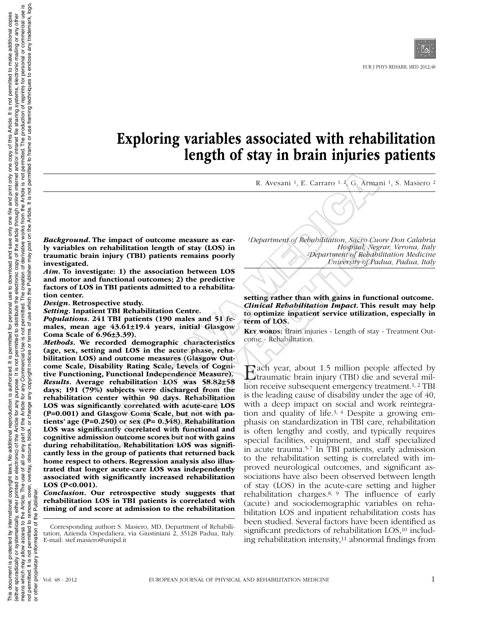# Exploring variables associated with rehabilitation length of stay in brain injuries patients

R. Avesani 1, E. Carraro 1, 2, G. Armani 1, S. Masiero 2

*Background*. The impact of outcome measure as early variables on rehabilitation length of stay (LOS) in traumatic brain injury (TBI) patients remains poorly investigated.

*Aim*. To investigate: 1) the association between LOS and motor and functional outcomes; 2) the predictive factors of LOS in TBI patients admitted to a rehabilitation center.

*Design*. Retrospective study.

*Setting*. Inpatient TBI Rehabilitation Centre.

*Populations*. 241 TBI patients (190 males and 51 females, mean age 43.61±19.4 years, initial Glasgow Coma Scale of 6.96±3.39).

*Methods*. We recorded demographic characteristics (age, sex, setting and LOS in the acute phase, rehabilitation LOS) and outcome measures (Glasgow Outcome Scale, Disability Rating Scale, Levels of Cognitive Functioning, Functional Independence Measure). *Results*. Average rehabilitation LOS was 58.82±58 days; 191 (79%) subjects were discharged from the rehabilitation center within 90 days. Rehabilitation LOS was significantly correlated with acute-care LOS (P=0.001) and Glasgow Coma Scale, but not with patients' age (P=0.250) or sex (P= 0.348). Rehabilitation LOS was significantly correlated with functional and cognitive admission outcome scores but not with gains during rehabilitation. Rehabilitation LOS was significantly less in the group of patients that returned back home respect to others. Regression analysis also illustrated that longer acute-care LOS was independently associated with significantly increased rehabilitation LOS (P<0.001). R. Avesani <sup>1</sup>, E. Carraro <sup>1, 2</sup>, G. Arma<br>
he impact of outcome measure as ear-<br>
rehabilitation length of stay (LOS) in<br>
rehabilitation length of stay (LOS) in<br>
individual, Negotial, Negotial, Negotial, Negotial, Negotia

*Conclusion*. Our retrospective study suggests that rehabilitation LOS in TBI patients is correlated with timing of and score at admission to the rehabilitation

Corresponding author: S. Masiero, MD, Department of Rehabilitation, Azienda Ospedaliera, via Giustiniani 2, 35128 Padua, Italy. E-mail: stef.masiero@unipd.it

*1Department of Rehabilitation, Sacro Cuore Don Calabria Hospital, Negrar, Verona, Italy 2Department of Rehabilitation Medicine University of Padua, Padua, Italy*

setting rather than with gains in functional outcome. *Clinical Rehabilitation Impact*. This result may help to optimize inpatient service utilization, especially in term of LOS.

KEY WORDS: Brain injuries - Length of stay - Treatment Outcome - Rehabilitation.

Each year, about 1.5 million people affected by traumatic brain injury (TBI) die and several million receive subsequent emergency treatment.1, 2 TBI is the leading cause of disability under the age of 40, with a deep impact on social and work reintegration and quality of life.3, 4 Despite a growing emphasis on standardization in TBI care, rehabilitation is often lengthy and costly, and typically requires special facilities, equipment, and staff specialized in acute trauma.5-7 In TBI patients, early admission to the rehabilitation setting is correlated with improved neurological outcomes, and significant associations have also been observed between length of stay (LOS) in the acute-care setting and higher rehabilitation charges.8, 9 The influence of early (acute) and sociodemographic variables on rehabilitation LOS and inpatient rehabilitation costs has been studied. Several factors have been identified as significant predictors of rehabilitation LOS,<sup>10</sup> including rehabilitation intensity, $11$  abnormal findings from one measure as ear-<br>
1Department of Rebabilitation, Sacro Cu<br>
16. Hospital, Neg<br>
ients remains poorly<br>
2Department of Rebabilitation<br>
Cinical Rebabilitation Impact. This<br>
continues (Cinical Rebabilitation Impact. This<br>
190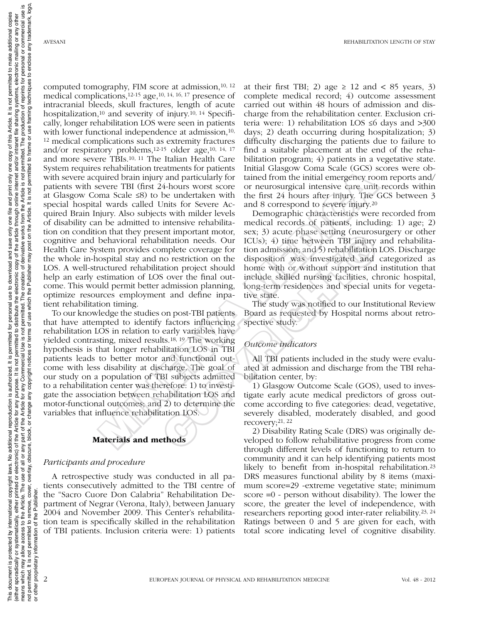computed tomography, FIM score at admission,10, 12 medical complications,12-15 age,10, 14, 16, 17 presence of intracranial bleeds, skull fractures, length of acute hospitalization,<sup>10</sup> and severity of injury.<sup>10, 14</sup> Specifically, longer rehabilitation LOS were seen in patients with lower functional independence at admission,<sup>10,</sup> 12 medical complications such as extremity fractures and/or respiratory problems,12-15 older age,10, 14, 17 and more severe TBIs.10, 11 The Italian Health Care System requires rehabilitation treatments for patients with severe acquired brain injury and particularly for patients with severe TBI (first 24-hours worst score at Glasgow Coma Scale ≤8) to be undertaken with special hospital wards called Units for Severe Acquired Brain Injury. Also subjects with milder levels of disability can be admitted to intensive rehabilitation on condition that they present important motor, cognitive and behavioral rehabilitation needs. Our Health Care System provides complete coverage for the whole in-hospital stay and no restriction on the LOS. A well-structured rehabilitation project should help an early estimation of LOS over the final outcome. This would permit better admission planning, optimize resources employment and define inpatient rehabilitation timing. s channels in variative and the main of particularly for tained brain injury and particularly for tained from the initial emergency root of the divided brain injury and particularly for tained from the initial emergency r

To our knowledge the studies on post-TBI patients that have attempted to identify factors influencing rehabilitation LOS in relation to early variables have yielded contrasting, mixed results.18, 19 The working hypothesis is that longer rehabilitation LOS in TBI patients leads to better motor and functional outcome with less disability at discharge. The goal of our study on a population of TBI subjects admitted to a rehabilitation center was therefore: 1) to investigate the association between rehabilitation LOS and motor-functional outcomes; and 2) to determine the variables that influence rehabilitation LOS.

## Materials and methods

### *Participants and procedure*

A retrospective study was conducted in all patients consecutively admitted to the TBI centre of the "Sacro Cuore Don Calabria" Rehabilitation Department of Negrar (Verona, Italy), between January 2004 and November 2009. This Center's rehabilitation team is specifically skilled in the rehabilitation of TBI patients. Inclusion criteria were: 1) patients

at their first TBI; 2) age  $\geq$  12 and  $\lt$  85 years, 3) complete medical record; 4) outcome assessment carried out within 48 hours of admission and discharge from the rehabilitation center. Exclusion criteria were: 1) rehabilitation LOS ≤6 days and >300 days; 2) death occurring during hospitalization; 3) difficulty discharging the patients due to failure to find a suitable placement at the end of the rehabilitation program; 4) patients in a vegetative state. Initial Glasgow Coma Scale (GCS) scores were obtained from the initial emergency room reports and/ or neurosurgical intensive care unit records within the first 24 hours after injury. The GCS between 3 and 8 correspond to severe injury.20

Demographic characteristics were recorded from medical records of patients, including: 1) age; 2) sex; 3) acute phase setting (neurosurgery or other ICUs); 4) time between TBI injury and rehabilitation admission; and 5) rehabilitation LOS. Discharge disposition was investigated and categorized as home with or without support and institution that include skilled nursing facilities, chronic hospital, long-term residences and special units for vegetative state. Entimporation, sext, 39 and purels states are the through different linear and the through different linear tect<br>in the between TBI injury mplete coverage for tion admission; and 5) rehabilitation<br>no restriction on the di

The study was notified to our Institutional Review Board as requested by Hospital norms about retrospective study.

## *Outcome indicators*

All TBI patients included in the study were evaluated at admission and discharge from the TBI rehabilitation center, by:

1) Glasgow Outcome Scale (GOS), used to investigate early acute medical predictors of gross outcome according to five categories: dead, vegetative, severely disabled, moderately disabled, and good recovery;21, 22

2) Disability Rating Scale (DRS) was originally developed to follow rehabilitative progress from come through different levels of functioning to return to community and it can help identifying patients most likely to benefit from in-hospital rehabilitation.<sup>23</sup> DRS measures functional ability by 8 items (maximum score=29 -extreme vegetative state; minimum score =0 - person without disability). The lower the score, the greater the level of independence, with researchers reporting good inter-rater reliability.23, 24 Ratings between 0 and 5 are given for each, with total score indicating level of cognitive disability.

or other proprietary information of the Publisher.

other proprietary information

 $\overline{5}$ 

Publi the 등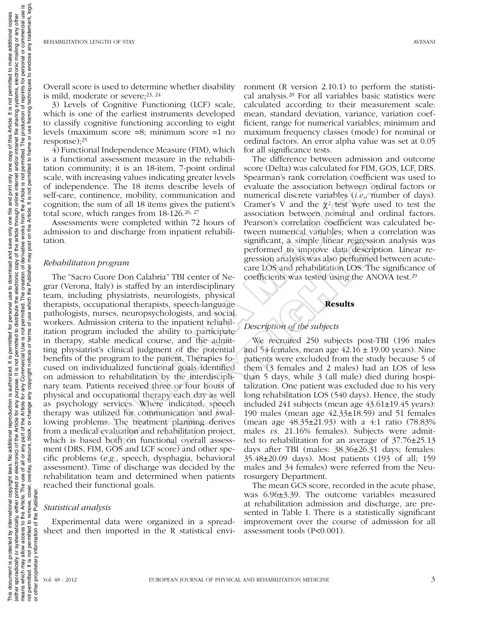Overall score is used to determine whether disability is mild, moderate or severe;23, 24

3) Levels of Cognitive Functioning (LCF) scale, which is one of the earliest instruments developed to classify cognitive functioning according to eight levels (maximum score =8; minimum score =1 no response);25

 $\overline{4}$ ) Functional Independence Measure (FIM), which is a functional assessment measure in the rehabilitation community; it is an 18-item, 7-point ordinal scale, with increasing values indicating greater levels of independence. The 18 items describe levels of self-care, continence, mobility, communication and cognition; the sum of all 18 items gives the patient's total score, which ranges from 18-126.26, 27

Assessments were completed within 72 hours of admission to and discharge from inpatient rehabilitation.

## *Rehabilitation program*

The "Sacro Cuore Don Calabria" TBI center of Negrar (Verona, Italy) is staffed by an interdisciplinary team, including physiatrists, neurologists, physical therapists, occupational therapists, speech-language pathologists, nurses, neuropsychologists, and social workers. Admission criteria to the inpatient rehabilitation program included the ability to participate in therapy, stable medical course, and the admitting physiatrist's clinical judgment of the potential benefits of the program to the patient. Therapies focused on individualized functional goals identified on admission to rehabilitation by the interdisciplinary team. Patients received three or four hours of physical and occupational therapy each day as well as psychology services. Where indicated, speech therapy was utilized for communication and swallowing problems. The treatment planning derives from a medical evaluation and rehabilitation project, which is based both on functional overall assessment (DRS, FIM, GOS and LCF score) and other specific problems (*e.g*., speech, dysphagia, behavioral assessment). Time of discharge was decided by the rehabilitation team and determined when patients reached their functional goals. and the since the since the societies of the since the since and solid particles in the since and solid the since the since the since the mental starts (i.e., The 18 items describe levels of evaluate the association betwe

## *Statistical analysis*

Experimental data were organized in a spreadsheet and then imported in the R statistical environment (R version 2.10.1) to perform the statistical analysis.28 For all variables basic statistics were calculated according to their measurement scale: mean, standard deviation, variance, variation coefficient, range for numerical variables; minimum and maximum frequency classes (mode) for nominal or ordinal factors. An error alpha value was set at 0.05 for all significance tests.

The difference between admission and outcome score (Delta) was calculated for FIM, GOS, LCF, DRS. Spearman's rank correlation coefficient was used to evaluate the association between ordinal factors or numerical discrete variables (*i.e*., number of days). Cramer's V and the  $\chi^2$  test were used to test the association between nominal and ordinal factors. Pearson's correlation coefficient was calculated between numerical variables; when a correlation was significant, a simple linear regression analysis was performed to improve data description. Linear regression analysis was also performed between acutecare LOS and rehabilitation LOS. The significance of coefficients was tested using the ANOVA test.29

# Results

# *Description of the subjects*

We recruited 250 subjects post-TBI (196 males and 54 females, mean age  $42.16 \pm 19.00$  years). Nine patients were excluded from the study because 5 of them (3 females and 2 males) had an LOS of less than 5 days, while 3 (all male) died during hospitalization. One patient was excluded due to his very long rehabilitation LOS (540 days). Hence, the study included 241 subjects (mean age  $43.61\pm19.45$  years): 190 males (mean age 42.33±18.59) and 51 females (mean age 48.35±21.93) with a 4:1 ratio (78.83% males *vs*. 21.16% females). Subjects were admitted to rehabilitation for an average of  $37.76\pm25.13$ days after TBI (males: 38.36±26.31 days; females: 35.48±20.09 days). Most patients (193 of all; 159 males and 34 females) were referred from the Neurosurgery Department. in impared channel significant, a simple linear regressic<br>significant, a simple linear regressic<br>performed to improve data descrip<br>gression analysis was also performed<br>care LOS and rehabilitation LOS. The<br>an interdiscipli

> The mean GCS score, recorded in the acute phase, was 6.96±3.39. The outcome variables measured at rehabilitation admission and discharge, are presented in Table I. There is a statistically significant improvement over the course of admission for all assessment tools (P<0.001).

or other proprietary information of the Publisher.

other proprietary information

 $\overline{5}$ 

Publis the  $\overline{5}$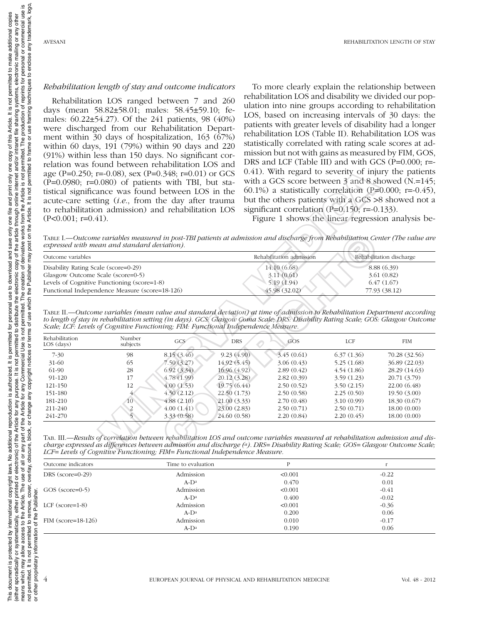#### *Rehabilitation length of stay and outcome indicators*

Rehabilitation LOS ranged between 7 and 260 days (mean 58.82±58.01; males: 58.45±59.10; females: 60.22±54.27). Of the 241 patients, 98 (40%) were discharged from our Rehabilitation Department within  $30$  days of hospitalization,  $163$  ( $\overline{67\%}$ ) within 60 days, 191 (79%) within 90 days and 220 (91%) within less than 150 days. No significant correlation was found between rehabilitation LOS and age (P=0.250; r=-0.08), sex (P=0.348; r=0.01) or GCS  $(P=0.0980; r=0.080)$  of patients with TBI, but statistical significance was found between LOS in the acute-care setting (*i.e*., from the day after trauma to rehabilitation admission) and rehabilitation LOS  $(P<0.001; r=0.41)$ .

To more clearly explain the relationship between rehabilitation LOS and disability we divided our population into nine groups according to rehabilitation LOS, based on increasing intervals of 30 days: the patients with greater levels of disability had a longer rehabilitation LOS (Table II). Rehabilitation LOS was statistically correlated with rating scale scores at admission but not with gains as measured by FIM, GOS, DRS and LCF (Table III) and with GCS (P=0.000; r=-0.41). With regard to severity of injury the patients with a GCS score between 3 and 8 showed (N.=145; 60.1%) a statistically correlation (P=0.000; r=-0.45), but the others patients with a GCS >8 showed not a significant correlation (P=0.150; r=-0.133).

Table I.—*Outcome variables measured in post-TBI patients at admission and discharge from Rehabilitation Center (The value are expressed with mean and standard deviation).*

| Outcome variables                              | Rehabilitation admission | Rehabilitation discharge |  |
|------------------------------------------------|--------------------------|--------------------------|--|
| Disability Rating Scale (score=0-29)           | 14.10 (6.68)             | 8.88 (6.39)              |  |
| Glasgow Outcome Scale (score=0-5)              | 3.11(0.61)               | 3.61(0.82)               |  |
| Levels of Cognitive Functioning (score=1-8)    | 5.19(1.94)               | 6.47(1.67)               |  |
| Functional Independence Measure (score=18-126) | 45.98(32.02)             | 77.93 (38.12)            |  |

Table II.—*Outcome variables (mean value and standard deviation) at time of admission to Rehabilitation Department according to length of stay in rehabilitation setting (in days). GCS: Glasgow Coma Scale; DRS: Disability Rating Scale; GOS: Glasgow Outcome Scale; LCF: Levels of Cognitive Functioning; FIM: Functional Independence Measure.*

| age (P=0.250; r=-0.08), sex (P=0.348; r=0.01) or GCS<br>$(P=0.0980; r=0.080)$ of patients with TBI, but sta-<br>tistical significance was found between LOS in the<br>acute-care setting (i.e., from the day after trauma<br>to rehabilitation admission) and rehabilitation LOS<br>$(P<0.001; r=0.41)$ . |                    |                          |                              | 0.41). With regard to severity of injury the patients<br>with a GCS score between 3 and 8 showed (N.=145;<br>60.1%) a statistically correlation (P=0.000; r=-0.45),<br>but the others patients with a GCS >8 showed not a<br>significant correlation (P= $0.150$ ; r= $-0.133$ ).<br>Figure 1 shows the linear regression analysis be- |                                                           |                            |  |
|-----------------------------------------------------------------------------------------------------------------------------------------------------------------------------------------------------------------------------------------------------------------------------------------------------------|--------------------|--------------------------|------------------------------|----------------------------------------------------------------------------------------------------------------------------------------------------------------------------------------------------------------------------------------------------------------------------------------------------------------------------------------|-----------------------------------------------------------|----------------------------|--|
| expressed with mean and standard deviation).                                                                                                                                                                                                                                                              |                    |                          |                              | TABLE I.—Outcome variables measured in post-TBI patients at admission and discharge from Rehabilitation Center (The value are                                                                                                                                                                                                          |                                                           |                            |  |
| Outcome variables                                                                                                                                                                                                                                                                                         |                    |                          |                              | Rehabilitation admission                                                                                                                                                                                                                                                                                                               |                                                           | Rehabilitation discharge   |  |
| Disability Rating Scale (score=0-29)<br>Glasgow Outcome Scale (score=0-5)<br>Levels of Cognitive Functioning (score=1-8)<br>Functional Independence Measure (score=18-126)                                                                                                                                |                    |                          |                              | 14.10 (6.68)<br>3.11(0.61)<br>5.19 (1.94)<br>45.98 (32.02)                                                                                                                                                                                                                                                                             | 8.88 (6.39)<br>3.61 (0.82)<br>6.47(1.67)<br>77.93 (38.12) |                            |  |
| Scale; LCF: Levels of Cognitive Functioning; FIM: Functional Independence Measure.<br>Rehabilitation<br>LOS (days)                                                                                                                                                                                        | Number<br>subjects | GCS                      | DRS                          | TABLE II.—Outcome variables (mean value and standard deviation) at time of admission to Rebabilitation Department according<br>to length of stay in rehabilitation setting (in days). GCS: Glasgow Coma Scale; DRS: Disability Rating Scale; GOS: Glasgow Outcome<br>GOS                                                               | <b>LCF</b>                                                | <b>FIM</b>                 |  |
|                                                                                                                                                                                                                                                                                                           |                    |                          |                              |                                                                                                                                                                                                                                                                                                                                        |                                                           |                            |  |
| $7 - 30$                                                                                                                                                                                                                                                                                                  | 98                 | 8.15 (3.46)              | 9.23(4.90)                   | 3.45(0.61)                                                                                                                                                                                                                                                                                                                             | 6.37(1.36)                                                | 70.28 (32.56)              |  |
| 31-60                                                                                                                                                                                                                                                                                                     | 65                 | 7.50(3.27)               | 14.92 (5.45)                 | 3.06(0.43)                                                                                                                                                                                                                                                                                                                             | 5.25(1.68)                                                | 36.89 (22.03)              |  |
| 61-90                                                                                                                                                                                                                                                                                                     | 28                 | 6.92(3.34)               | 16.96 (4.92)                 | 2.89(0.42)                                                                                                                                                                                                                                                                                                                             | 4.54(1.86)                                                | 28.29 (14.63)              |  |
| 91-120                                                                                                                                                                                                                                                                                                    | 17                 | 4.78(1.99)               | 20.12 (3.28)                 | 2.82(0.39)                                                                                                                                                                                                                                                                                                                             | 3.59(1.23)                                                | 20.71 (3.79)               |  |
| 121-150                                                                                                                                                                                                                                                                                                   | 12                 | 4.00(1.53)               | 19.75 (6.44)                 | 2.50(0.52)                                                                                                                                                                                                                                                                                                                             | 3.50(2.15)                                                | 22.00 (6.48)               |  |
| 151-180                                                                                                                                                                                                                                                                                                   |                    | 4.50(2.12)               | 22.50 (1.73)                 | 2.50(0.58)                                                                                                                                                                                                                                                                                                                             | 2.25(0.50)                                                | 19.50 (3.00)               |  |
| 181-210                                                                                                                                                                                                                                                                                                   | 10                 | 4.88(2.10)               | 21.00(3.33)                  | 2.70(0.48)                                                                                                                                                                                                                                                                                                                             | 3.10(0.99)                                                | 18.30(0.67)                |  |
| 211-240<br>241-270                                                                                                                                                                                                                                                                                        | $\frac{2}{5}$      | 4.00(1.41)<br>3.33(0.58) | 23.00 (2.83)<br>24.60 (0.58) | 2.50(0.71)<br>2.20(0.84)                                                                                                                                                                                                                                                                                                               | 2.50(0.71)<br>2.20(0.45)                                  | 18.00(0.00)<br>18.00(0.00) |  |
|                                                                                                                                                                                                                                                                                                           |                    |                          |                              |                                                                                                                                                                                                                                                                                                                                        |                                                           |                            |  |

| TAB. III.—Results of correlation between rehabilitation LOS and outcome variables measured at rehabilitation admission and dis- |  |
|---------------------------------------------------------------------------------------------------------------------------------|--|
| charge expressed as differences between admission and discharge (ª). DRS= Disability Rating Scale; GOS= Glasgow Outcome Scale;  |  |
| LCF= Levels of Cognitive Functioning; FIM= Functional Independence Measure.                                                     |  |

| Outcome indicators | Time to evaluation | P       |         |
|--------------------|--------------------|---------|---------|
| DRS (score=0-29)   | Admission          | < 0.001 | $-0.22$ |
|                    | $A-D^a$            | 0.470   | 0.01    |
| GOS (score=0-5)    | Admission          | < 0.001 | $-0.41$ |
|                    | $A-D^a$            | 0.400   | $-0.02$ |
| LCF $(score=1-8)$  | Admission          | < 0.001 | $-0.36$ |
|                    | $A-D^a$            | 0.200   | 0.06    |
| FIM (score=18-126) | Admission          | 0.010   | $-0.17$ |
|                    | $A-D^a$            | 0.190   | 0.06    |

or other proprietary information of the Publisher.

other proprietary information of

 $\overline{5}$ 

the Publisher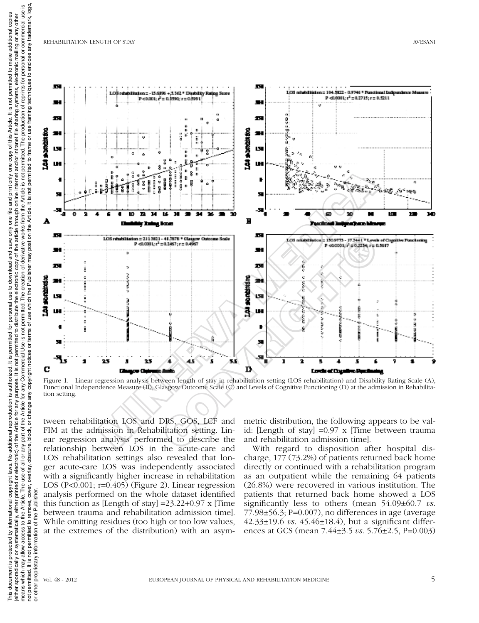

Figure 1.—Linear regression analysis between length of stay in rehabilitation setting (LOS rehabilitation) and Disability Rating Scale (A), Functional Independence Measure (B), Glasgow Outcome Scale (C) and Levels of Cognitive Functioning (D) at the admission in Rehabilita-

tween rehabilitation LOS and DRS, GOS, LCF and FIM at the admission in Rehabilitation setting. Linear regression analysis performed to describe the relationship between LOS in the acute-care and LOS rehabilitation settings also revealed that longer acute-care LOS was independently associated with a significantly higher increase in rehabilitation LOS ( $P<0.001$ ;  $r=0.405$ ) (Figure 2). Linear regression analysis performed on the whole dataset identified this function as [Length of stay]  $=23.22+0.97 \times$  [Time] between trauma and rehabilitation admission time]. While omitting residues (too high or too low values, at the extremes of the distribution) with an asym-

metric distribution, the following appears to be valid: [Length of stay] =0.97 x [Time between trauma and rehabilitation admission time].

With regard to disposition after hospital discharge, 177 (73.2%) of patients returned back home directly or continued with a rehabilitation program as an outpatient while the remaining 64 patients (26.8%) were recovered in various institution. The patients that returned back home showed a LOS significantly less to others (mean 54.09±60.7 *vs*.  $77.98\pm56.3$ ; P=0.007), no differences in age (average 42.33±19.6 *vs*. 45.46±18.4), but a significant differences at GCS (mean 7.44±3.5 *vs*. 5.76±2.5, P=0.003)

 $\overline{5}$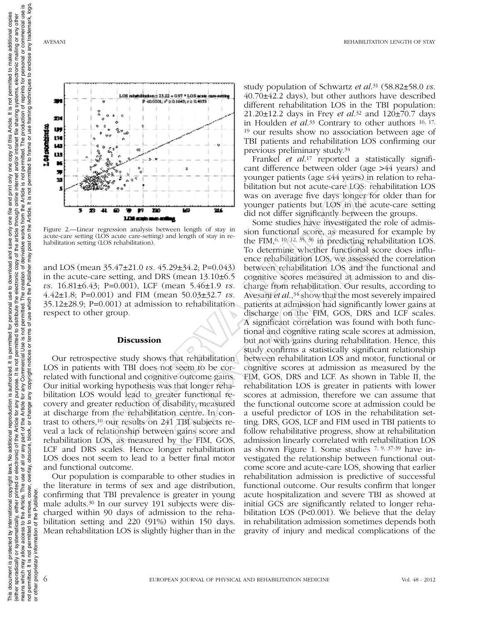

Figure 2.—Linear regression analysis between length of stay in acute-care setting (LOS acute care-setting) and length of stay in re-

and LOS (mean 35.47±21.0 *vs.* 45.29±34.2; P=0.043) in the acute-care setting, and DRS (mean 13.10±6.5 *vs.* 16.81±6.43; P=0.001), LCF (mean 5.46±1.9 *vs.*  4.42±1.8; P=0.001) and FIM (mean 50.03±32.7 *vs.* 35.12±28.9; P=0.001) at admission to rehabilitation respect to other group.

## **Discussion**

Our retrospective study shows that rehabilitation LOS in patients with TBI does not seem to be correlated with functional and cognitive outcome gains. Our initial working hypothesis was that longer rehabilitation LOS would lead to greater functional recovery and greater reduction of disability, measured at discharge from the rehabilitation centre. In contrast to others,10 our results on 241 TBI subjects reveal a lack of relationship between gains score and rehabilitation LOS, as measured by the FIM, GOS, LCF and DRS scales. Hence longer rehabilitation LOS does not seem to lead to a better final motor and functional outcome.

Our population is comparable to other studies in the literature in terms of sex and age distribution, confirming that TBI prevalence is greater in young male adults.30 In our survey 191 subjects were discharged within 90 days of admission to the rehabilitation setting and 220 (91%) within 150 days. Mean rehabilitation LOS is slightly higher than in the study population of Schwartz *et al*.31 (58.82±58.0 *vs.* 40.70±42.2 days), but other authors have described different rehabilitation LOS in the TBI population: 21.20±12.2 days in Frey *et al*.32 and 120±70.7 days in Houlden *et al*.33 Contrary to other authors 16, 17, 19 our results show no association between age of TBI patients and rehabilitation LOS confirming our previous preliminary study.34

Frankel *et al*.17 reported a statistically significant difference between older (age >44 years) and younger patients (age ≤44 years) in relation to rehabilitation but not acute-care LOS: rehabilitation LOS was on average five days longer for older than for younger patients but LOS in the acute-care setting did not differ significantly between the groups.

Some studies have investigated the role of admission functional score, as measured for example by the FIM,6, 10, 12, 35, 36 in predicting rehabilitation LOS. To determine whether functional score does influence rehabilitation LOS, we assessed the correlation between rehabilitation LOS and the functional and cognitive scores measured at admission to and discharge from rehabilitation. Our results, according to Avesani *et al.*,<sup>34</sup> show that the most severely impaired patients at admission had significantly lower gains at discharge on the FIM, GOS, DRS and LCF scales. A significant correlation was found with both functional and cognitive rating scale scores at admission, but not with gains during rehabilitation. Hence, this study confirms a statistically significant relationship between rehabilitation LOS and motor, functional or cognitive scores at admission as measured by the FIM, GOS, DRS and LCF. As shown in Table II, the rehabilitation LOS is greater in patients with lower scores at admission, therefore we can assume that the functional outcome score at admission could be a useful predictor of LOS in the rehabilitation setting. DRS, GOS, LCF and FIM used in TBI patients to follow rehabilitative progress, show at rehabilitation admission linearly correlated with rehabilitation LOS as shown Figure 1. Some studies 7, 9, 37-39 have investigated the relationship between functional outcome score and acute-care LOS, showing that earlier rehabilitation admission is predictive of successful functional outcome. Our results confirm that longer acute hospitalization and severe TBI as showed at initial GCS are significantly related to longer rehabilitation LOS (P<0.001). We believe that the delay in rehabilitation admission sometimes depends both gravity of injury and medical complications of the **EXERCUS AN ASSUME AND CONDUCT CONSERVATION SETTING (COSETTING AND SOLUTION SETTING AND SURFACE USE CONSERVATION SETTING (COSETTING AND CONSERVATION SETTING AND CONSERVATION SETTING (LOSE THE CONSERVATION SETTING AND SURF** of the state in the state of the FIM, 6.10.12.35, are action of the FIM, 6.10.12.35, are inpedicting related to the most of the FIM, 6.10.12.35, age in predicting related at admission and the RIS (mean 5.46±1.9 *vs*. char

or other proprietary information of the Publisher.

other proprietary information of

 $\overline{5}$ 

Publis

the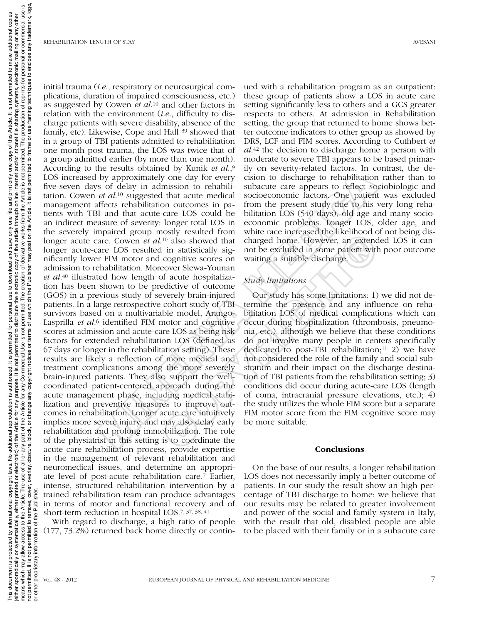initial trauma (*i.e*., respiratory or neurosurgical complications, duration of impaired consciousness, etc.) as suggested by Cowen *et al*.10 and other factors in relation with the environment (*i.e.*, difficulty to discharge patients with severe disability, absence of the family, etc). Likewise, Cope and Hall 39 showed that in a group of TBI patients admitted to rehabilitation one month post trauma, the LOS was twice that of a group admitted earlier (by more than one month). According to the results obtained by Kunik *et al*.,9 LOS increased by approximately one day for every five-seven days of delay in admission to rehabilitation. Cowen *et al*.10 suggested that acute medical management affects rehabilitation outcomes in patients with TBI and that acute-care LOS could be an indirect measure of severity: longer total LOS in the severely impaired group mostly resulted from longer acute care. Cowen *et al*.10 also showed that longer acute-care LOS resulted in statistically significantly lower FIM motor and cognitive scores on admission to rehabilitation. Moreover Slewa-Younan *et al*.40 illustrated how length of acute hospitalization has been shown to be predictive of outcome (GOS) in a previous study of severely brain-injured patients. In a large retrospective cohort study of TBI survivors based on a multivariable model, Arango-Lasprilla *et al*.6 identified FIM motor and cognitive scores at admission and acute-care LOS as being risk factors for extended rehabilitation LOS (defined as 67 days or longer in the rehabilitation setting). These results are likely a reflection of more medical and treatment complications among the more severely brain-injured patients. They also support the wellcoordinated patient-centered approach during the acute management phase, including medical stabilization and preventive measures to improve outcomes in rehabilitation. Longer acute care intuitively implies more severe injury, and may also delay early rehabilitation and prolong immobilization. The role of the physiatrist in this setting is to coordinate the acute care rehabilitation process, provide expertise in the management of relevant rehabilitation and neuromedical issues, and determine an appropriate level of post-acute rehabilitation care.7 Earlier, intense, structured rehabilitation intervention by a trained rehabilitation team can produce advantages in terms of motor and functional recovery and of short-term reduction in hospital LOS.7, 37, 38, 41 The results obtained by halm are  $m_i$ , in y of secure years of delay in alternative of the style and alternative of the suggested that actue energies to relatibilitation of  $et$  all<sup>3</sup> suggested that actue medical socioeco

With regard to discharge, a high ratio of people (177, 73.2%) returned back home directly or contin-

ued with a rehabilitation program as an outpatient: these group of patients show a LOS in acute care setting significantly less to others and a GCS greater respects to others. At admission in Rehabilitation setting, the group that returned to home shows better outcome indicators to other group as showed by DRS, LCF and FIM scores. According to Cuthbert *et al*.42 the decision to discharge home a person with moderate to severe TBI appears to be based primarily on severity-related factors. In contrast, the decision to discharge to rehabilitation rather than to subacute care appears to reflect sociobiologic and socioeconomic factors. One patient was excluded from the present study due to his very long rehabilitation LOS (540 days), old age and many socioeconomic problems. Longer LOS, older age, and white race increased the likelihood of not being discharged home. However, an extended LOS it cannot be excluded in some patient with poor outcome waiting a suitable discharge.

## *Study limitations*

Our study has some limitations: 1) we did not determine the presence and any influence on rehabilitation LOS of medical complications which can occur during hospitalization (thrombosis, pneumonia, etc.), although we believe that these conditions do not involve many people in centers specifically dedicated to post-TBI rehabilitation;<sup>11</sup> 2) we have not considered the role of the family and social substratum and their impact on the discharge destination of TBI patients from the rehabilitation setting; 3) conditions did occur during acute-care LOS (length of coma, intracranial pressure elevations, etc.); 4) the study utilizes the whole FIM score but a separate FIM motor score from the FIM cognitive score may be more suitable. bosy resolute form where race increased in encompassion and the productions, the system and the spiral and the spiral and the spiral and the spiral and the spiral and the spiral and the spiral enders over slewa-Younan of

#### **Conclusions**

On the base of our results, a longer rehabilitation LOS does not necessarily imply a better outcome of patients. In our study the result show an high percentage of TBI discharge to home: we believe that our results may be related to greater involvement and power of the social and family system in Italy, with the result that old, disabled people are able to be placed with their family or in a subacute care

<u>.ഗ</u>

 $\overline{5}$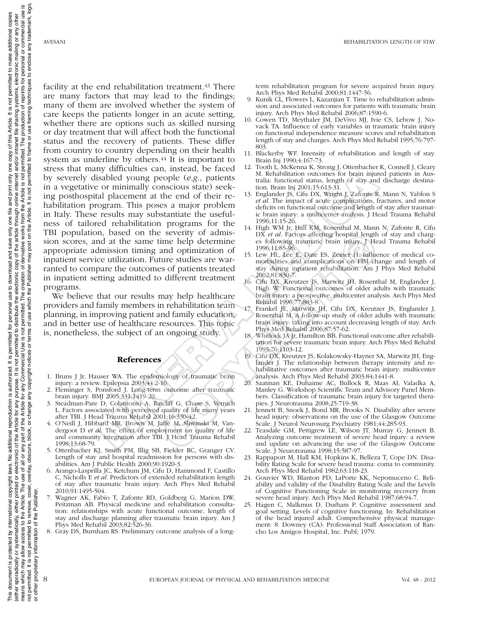It is not permitted to make additional copies

Article.

of this

one copy

only print and<sub>l</sub> € one 1

save only

This document is protected by international copyright laws. No additional copinglency reproduction is authorized. It is permitted of or personal use to download and save only one file and print only of this Article. It is either sporadically, eithed or electronic) of the Article for any purpose. It is not permitted to distribute the electronic copy of the article finder internet and/or intranet file sharing systems, electronic mailing or an means which may allow access to the Article The use of all or any part of the Article for any Commercial Use is not permit for any Commercial Use is not permit for any commercial or commercial use is

for

It is permitted

reproduction is authorized

additional

ş laws.

copyright |

international

is protected by

document

This

personal use to download and

or other proprietary information of the Publisher.

other proprietary information of

 $\overline{5}$ 

Publisher

eq

are many factors that may lead to the findings; many of them are involved whether the system of care keeps the patients longer in an acute setting, whether there are options such as skilled nursing or day treatment that will affect both the functional status and the recovery of patients. These differ from country to country depending on their health system as underline by others.<sup>44</sup> It is important to stress that many difficulties can, instead, be faced by severely disabled young people (*e.g*., patients in a vegetative or minimally conscious state) seeking posthospital placement at the end of their rehabilitation program. This poses a major problem in Italy. These results may substantiate the usefulness of tailored rehabilitation programs for the TBI population, based on the severity of admission scores, and at the same time help determine appropriate admission timing and optimization of inpatient service utilization. Future studies are warranted to compare the outcomes of patients treated in inpatient setting admitted to different treatment programs. For an initially consider the back of the back of back of back of back of back on minimilar back on the same of the same of the same of the same of the same of the same of the same of the same of the same of the same of t Seventy or adium Bergin Steeling hospital length<br>
ime help determine est following traumatic brain injury. J He<br>
inne help determine is following traumatic brain injury. J He<br>
and optimization of 15. Leve H, Date ES, Zeine

We believe that our results may help healthcare providers and family members in rehabilitation team planning, in improving patient and family education, and in better use of healthcare resources. This topic is, nonetheless, the subject of an ongoing study.

## References

- 1. Bruns J Jr, Hauser WA. The epidemiology of traumatic brain injury: a review. Epilepsia 2003;44:2-10.
- Fleminger S, Ponsford J. Long-term outcome after traumatic brain injury. BMJ 2005;331:1419-20.
- 3. Steadman-Pare D, Colantonio A, Ratcliff G, Chase S, Vernich L. Factors associated with perceived quality of life many years after TBI. J Head Trauma Rehabil 2001;16:330-42.
- 4. O'Neill J, Hibbard MR, Brown M, Jaffe M, Sliwinski M, Vandergoot D *et al*. The effect of employment on quality of life and community integration after TBI. J Head Trauma Rehabil 1998;13:68-79.
- 5. Ottenbacher KJ, Smith PM, Illig SB, Fielder RC, Granger CV. Length of stay and hospital readmission for persons with disabilities. Am J Public Health 2000;90:1920-3.
- 6. Arango-Lasprilla JC, Ketchum JM, Cifu D, Hammond F, Castillo C, Nicholls E *et al*. Predictors of extended rehabilitation length of stay after traumatic brain injury. Arch Phys Med Rehabil 2010;91:1495-504.
- 7. Wagner AK, Fabio T, Zafonte RD, Goldberg G, Marion DW, Peitzman AB. Physical medicine and rehabilitation consultation: relationships with acute functional outcome, length of stay and discharge planning after traumatic brain injury. Am J Phys Med Rehabil 2003;82:526-36.
- 8. Gray DS, Burnham RS. Preliminary outcome analysis of a long-

term rehabilitation program for severe acquired brain injury. Arch Phys Med Rehabil 2000;81:1447-56.

- 9. Kunik CL, Flowers L, Kazanjian T. Time to rehabilitation admission and associated outcomes for patients with traumatic brain injury. Arch Phys Med Rehabil 2006;87:1590-6.
- 10. Cowen TD, Meythaler JM, DeVivo MJ, Ivie CS, Lebow J, Novack TA. Influence of early variables in traumatic brain injury on functional independence measure scores and rehabilitation length of stay and charges. Arch Phys Med Rehabil 1995;76:797- 803.
- 11. Blackerby WF. Intensity of rehabilitation and length of stay. Brain Inj 1990;4:167-73.
- 12. Tooth L, McKenna K, Strong J, Ottenbacher K, Connell J, Cleary M. Rehabilitation outcomes for brain injured patients in Australia: functional status, length of stay and discharge destination. Brain Inj 2001;15:613-31.
- 13. Englander JS, Cifu DX, Wright J, Zafonte R, Mann N, Yablon S *et al*. The impact of acute complications, fractures, and motor deficits on functional outcome and length of stay after traumatic brain injury: a multicenter analysis. J Head Trauma Rehabil 1996;11:15-26.
- 14. High WM Jr, Hall KM, Rosenthal M, Mann N, Zafonte R, Cifu DX *et al*. Factors affecting hospital length of stay and charges following traumatic brain injury. J Head Trauma Rehabil 1996;11:85-96.
- 15. Lew HL, Lee E, Date ES, Zeiner H. Influence of medical comorbidities and complications on FIM change and length of stay during inpatient rehabilitation. Am J Phys Med Rehabil 2002;81:830-7.
- 16. Cifu DX, Kreutzer JS, Marwitz JH, Rosenthal M, Englander J, High W. Functional outcomes of older adults with traumatic brain injury: a prospective, multicenter analysis. Arch Phys Med Rehabil 1996;77:883-8.
- 17. Frankel JE, Marwitz JH, Cifu DX, Kreutzer JS, Englander J, Rosenthal M. A follow-up study of older adults with traumatic brain injury: taking into account decreasing length of stay. Arch Phys Med Rehabil 2006;87:57-62.
- 18. Whitlock JA Jr, Hamilton BB. Functional outcome after rehabilitation for severe traumatic brain injury. Arch Phys Med Rehabil 1995;76:1103-12.
- 19. Cifu DX, Kreutzer JS, Kolakowsky-Hayner SA, Marwitz JH, Englander J. The relationship between therapy intensity and rehabilitative outcomes after traumatic brain injury: multicenter analysis. Arch Phys Med Rehabil 2003:84;1441-8.
- 20. Saatman KE, Duhaime AC, Bullock R, Maas AI, Valadka A, Manley G. Workshop Scientific Team and Advisory Panel Members. Classification of traumatic brain injury for targeted therapies. J Neurotrauma 2008;25:719-38.
- 21. Jennett B, Snoek J, Bond MR, Brooks N. Disability after severe head injury: observations on the use of the Glasgow Outcome Scale. J Neurol Neurosurg Psychiatry 1981;44:285-93.
- 22. Teasdale GM, Pettigrew LE, Wilson JT, Murray G, Jennett B. Analyzing outcome treatment of severe head injury: a review and update on advancing the use of the Glasgow Outcome Scale. J Neurotrauma 1998;15:587-97.
- 23. Rappaport M, Hall KM, Hopkins K, Belleza T, Cope DN. Disability Rating Scale for severe head trauma: coma to community. Arch Phys Med Rehabil 1982;63:118-23.
- 24. Gouvier WD, Blanton PD, LaPorte KK, Nepomuceno C. Reliability and validity of the Disability Rating Scale and the Levels of Cognitive Functioning Scale in monitoring recovery from severe head injury. Arch Phys Med Rehabil 1987;68:94-7.
- 25. Hagen C, Malkmus D, Durham P. Cognitive assessment and goal setting. Levels of cognitive functioning. In: Rehabilitation of the head injured adult. Comprehensive physical management: 8. Downey (CA): Professional Staff Association of Rancho Los Amigos Hospital, Inc. Publ; 1979.